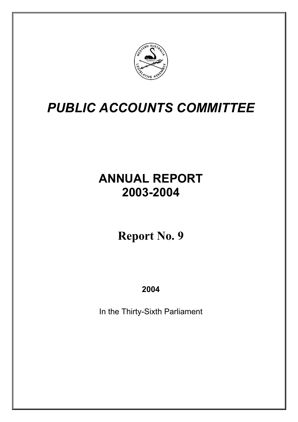

# **ANNUAL REPORT 2003-2004**

# **Report No. 9**

## **2004**

In the Thirty-Sixth Parliament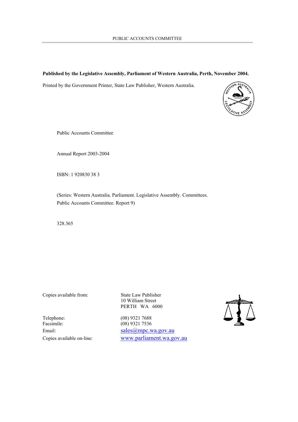#### **Published by the Legislative Assembly, Parliament of Western Australia, Perth, November 2004.**

Printed by the Government Printer, State Law Publisher, Western Australia.



Public Accounts Committee

Annual Report 2003-2004

ISBN: 1 920830 38 3

(Series: Western Australia. Parliament. Legislative Assembly. Committees. Public Accounts Committee. Report 9)

328.365

Copies available from: State Law Publisher

10 William Street PERTH WA 6000

Telephone: (08) 9321 7688 Facsimile: (08) 9321 7536

Email: sales *(a)* mpc.wa.gov.au Copies available on-line: www.parliament.wa.gov.au

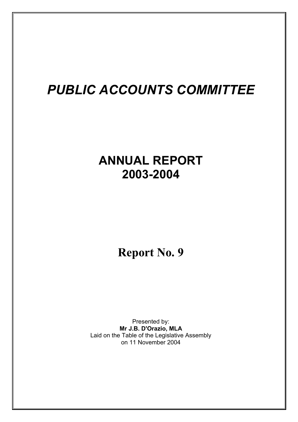# **ANNUAL REPORT 2003-2004**

## **Report No. 9**

Presented by: **Mr J.B. D'Orazio, MLA** Laid on the Table of the Legislative Assembly on 11 November 2004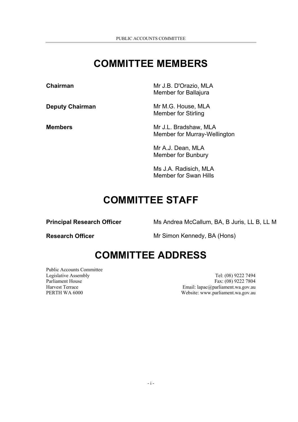## **COMMITTEE MEMBERS**

**Chairman** Mr J.B. D'Orazio, MLA Member for Ballajura

**Deputy Chairman** Mr M.G. House, MLA Member for Stirling

**Members** Mr J.L. Bradshaw, MLA Member for Murray-Wellington

> Mr A.J. Dean, MLA Member for Bunbury

Ms J.A. Radisich, MLA Member for Swan Hills

## **COMMITTEE STAFF**

**Principal Research Officer** Ms Andrea McCallum, BA, B Juris, LL B, LL M

**Research Officer** Mr Simon Kennedy, BA (Hons)

## **COMMITTEE ADDRESS**

Public Accounts Committee

Legislative Assembly Tel: (08) 9222 7494 Parliament House Fax: (08) 9222 7804 Harvest Terrace Email: lapac@parliament.wa.gov.au PERTH WA 6000 Website: www.parliament.wa.gov.au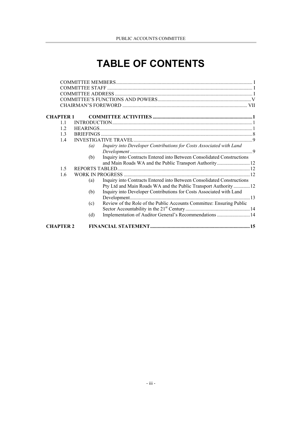## **TABLE OF CONTENTS**

| CHAPTER 1      |     |                                                                        |  |
|----------------|-----|------------------------------------------------------------------------|--|
| 11             |     |                                                                        |  |
| 12             |     |                                                                        |  |
| 1 <sup>3</sup> |     |                                                                        |  |
| 14             |     |                                                                        |  |
|                | (a) | Inquiry into Developer Contributions for Costs Associated with Land    |  |
|                |     |                                                                        |  |
|                | (b) | Inquiry into Contracts Entered into Between Consolidated Constructions |  |
|                |     | and Main Roads WA and the Public Transport Authority 12                |  |
| 1.5            |     |                                                                        |  |
| 1.6            |     |                                                                        |  |
|                | (a) | Inquiry into Contracts Entered into Between Consolidated Constructions |  |
|                |     | Pty Ltd and Main Roads WA and the Public Transport Authority  12       |  |
|                | (b) | Inquiry into Developer Contributions for Costs Associated with Land    |  |
|                |     |                                                                        |  |
|                | (c) | Review of the Role of the Public Accounts Committee: Ensuring Public   |  |
|                |     |                                                                        |  |
|                | (d) | Implementation of Auditor General's Recommendations  14                |  |
|                |     |                                                                        |  |
| CHAPTER 2      |     |                                                                        |  |
|                |     |                                                                        |  |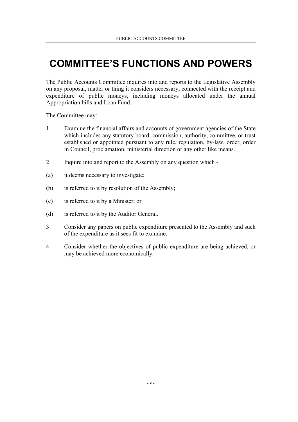## **COMMITTEE'S FUNCTIONS AND POWERS**

The Public Accounts Committee inquires into and reports to the Legislative Assembly on any proposal, matter or thing it considers necessary, connected with the receipt and expenditure of public moneys, including moneys allocated under the annual Appropriation bills and Loan Fund.

The Committee may:

- 1 Examine the financial affairs and accounts of government agencies of the State which includes any statutory board, commission, authority, committee, or trust established or appointed pursuant to any rule, regulation, by-law, order, order in Council, proclamation, ministerial direction or any other like means.
- 2 Inquire into and report to the Assembly on any question which -
- (a) it deems necessary to investigate;
- (b) is referred to it by resolution of the Assembly;
- (c) is referred to it by a Minister; or
- (d) is referred to it by the Auditor General.
- 3 Consider any papers on public expenditure presented to the Assembly and such of the expenditure as it sees fit to examine.
- 4 Consider whether the objectives of public expenditure are being achieved, or may be achieved more economically.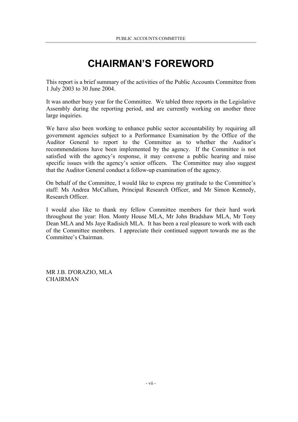## **CHAIRMAN'S FOREWORD**

This report is a brief summary of the activities of the Public Accounts Committee from 1 July 2003 to 30 June 2004.

It was another busy year for the Committee. We tabled three reports in the Legislative Assembly during the reporting period, and are currently working on another three large inquiries.

We have also been working to enhance public sector accountability by requiring all government agencies subject to a Performance Examination by the Office of the Auditor General to report to the Committee as to whether the Auditor's recommendations have been implemented by the agency. If the Committee is not satisfied with the agency's response, it may convene a public hearing and raise specific issues with the agency's senior officers. The Committee may also suggest that the Auditor General conduct a follow-up examination of the agency.

On behalf of the Committee, I would like to express my gratitude to the Committee's staff: Ms Andrea McCallum, Principal Research Officer, and Mr Simon Kennedy, Research Officer.

I would also like to thank my fellow Committee members for their hard work throughout the year: Hon. Monty House MLA, Mr John Bradshaw MLA, Mr Tony Dean MLA and Ms Jaye Radisich MLA. It has been a real pleasure to work with each of the Committee members. I appreciate their continued support towards me as the Committee's Chairman.

MR J.B. D'ORAZIO, MLA **CHAIRMAN**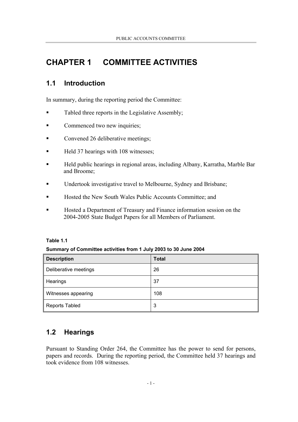## **CHAPTER 1 COMMITTEE ACTIVITIES**

## **1.1 Introduction**

In summary, during the reporting period the Committee:

- Tabled three reports in the Legislative Assembly;
- Commenced two new inquiries;
- Convened 26 deliberative meetings;
- Held 37 hearings with 108 witnesses;
- Held public hearings in regional areas, including Albany, Karratha, Marble Bar and Broome;
- Undertook investigative travel to Melbourne, Sydney and Brisbane;
- Hosted the New South Wales Public Accounts Committee; and
- Hosted a Department of Treasury and Finance information session on the 2004-2005 State Budget Papers for all Members of Parliament.

#### **Table 1.1**

#### **Summary of Committee activities from 1 July 2003 to 30 June 2004**

| <b>Description</b>    | <b>Total</b> |
|-----------------------|--------------|
| Deliberative meetings | 26           |
| Hearings              | 37           |
| Witnesses appearing   | 108          |
| <b>Reports Tabled</b> | 3            |

## **1.2 Hearings**

Pursuant to Standing Order 264, the Committee has the power to send for persons, papers and records. During the reporting period, the Committee held 37 hearings and took evidence from 108 witnesses.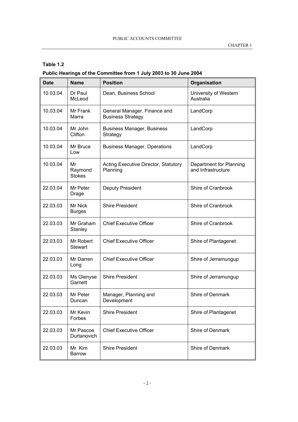#### **Table 1.2**

### **Public Hearings of the Committee from 1 July 2003 to 30 June 2004**

| <b>Date</b> | <b>Name</b>                    | <b>Position</b>                                          | Organisation                                  |
|-------------|--------------------------------|----------------------------------------------------------|-----------------------------------------------|
| 10.03.04    | Dr Paul<br>McLeod              | Dean, Business School                                    | University of Western<br>Australia            |
| 10.03.04    | Mr Frank<br>Marra              | General Manager, Finance and<br><b>Business Strategy</b> | LandCorp                                      |
| 10.03.04    | Mr John<br>Clifton             | <b>Business Manager, Business</b><br>Strategy            | LandCorp                                      |
| 10.03.04    | Mr Bruce<br>Low                | <b>Business Manager, Operations</b>                      | LandCorp                                      |
| 10.03.04    | Mr<br>Raymond<br><b>Stokes</b> | Acting Executive Director, Statutory<br>Planning         | Department for Planning<br>and Infrastructure |
| 22.03.04    | Mr Peter<br>Drage              | Deputy President                                         | Shire of Cranbrook                            |
| 22.03.03    | Mr Nick<br><b>Burges</b>       | <b>Shire President</b>                                   | Shire of Cranbrook                            |
| 22.03.03    | Mr Graham<br>Stanley           | <b>Chief Executive Officer</b>                           | Shire of Cranbrook                            |
| 22.03.03    | Mr Robert<br><b>Stewart</b>    | <b>Chief Executive Officer</b>                           | Shire of Plantagenet                          |
| 22.03.03    | Mr Darren<br>Long              | <b>Chief Executive Officer</b>                           | Shire of Jerramungup                          |
| 22.03.03    | Ms Glenyse<br>Garnett          | <b>Shire President</b>                                   | Shire of Jerramungup                          |
| 22.03.03    | Mr Peter<br>Duncan             | Manager, Planning and<br>Development                     | Shire of Denmark                              |
| 22.03.03    | Mr Kevin<br>Forbes             | <b>Shire President</b>                                   | Shire of Plantagenet                          |
| 22.03.03    | Mr Pascoe<br>Durtanovich       | <b>Chief Executive Officer</b>                           | Shire of Denmark                              |
| 22.03.03    | Mr Kim<br><b>Barrow</b>        | <b>Shire President</b>                                   | Shire of Denmark                              |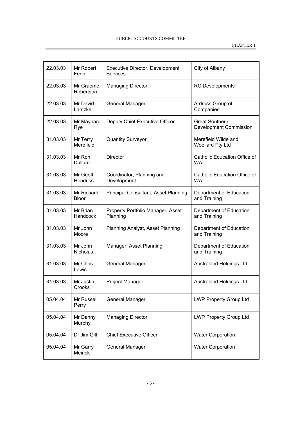| 22.03.03 | Mr Robert<br>Fenn           | <b>Executive Director, Development</b><br><b>Services</b> | City of Albany                                  |
|----------|-----------------------------|-----------------------------------------------------------|-------------------------------------------------|
| 22.03.03 | Mr Graeme<br>Robertson      | <b>Managing Director</b>                                  | <b>RC</b> Developments                          |
| 22.03.03 | Mr David<br>Lantzke         | General Manager                                           | Ardross Group of<br>Companies                   |
| 22.03.03 | Mr Maynard<br>Rye           | Deputy Chief Executive Officer                            | <b>Great Southern</b><br>Development Commission |
| 31.03.03 | Mr Terry<br>Merefield       | <b>Quantity Surveyor</b>                                  | Merefield Wilde and<br>Woollard Pty Ltd         |
| 31.03.03 | Mr Ron<br><b>Dullard</b>    | <b>Director</b>                                           | Catholic Education Office of<br><b>WA</b>       |
| 31.03.03 | Mr Geoff<br><b>Hendriks</b> | Coordinator, Planning and<br>Development                  | Catholic Education Office of<br><b>WA</b>       |
| 31.03.03 | Mr Richard<br><b>Bloor</b>  | <b>Principal Consultant, Asset Planning</b>               | Department of Education<br>and Training         |
| 31.03.03 | Mr Brian<br>Handcock        | Property Portfolio Manager, Asset<br>Planning             | Department of Education<br>and Training         |
| 31.03.03 | Mr John<br>Moore            | Planning Analyst, Asset Planning                          | Department of Education<br>and Training         |
| 31.03.03 | Mr John<br>Nicholas         | Manager, Asset Planning                                   | Department of Education<br>and Training         |
| 31.03.03 | Mr Chris<br>Lewis           | General Manager                                           | <b>Australand Holdings Ltd</b>                  |
| 31.03.03 | Mr Justin<br>Crooks         | Project Manager                                           | <b>Australand Holdings Ltd</b>                  |
| 05.04.04 | Mr Russel<br>Perry          | <b>General Manager</b>                                    | <b>LWP Property Group Ltd</b>                   |
| 05.04.04 | Mr Danny<br>Murphy          | <b>Managing Director</b>                                  | <b>LWP Property Group Ltd</b>                   |
| 05.04.04 | Dr Jim Gill                 | <b>Chief Executive Officer</b>                            | <b>Water Corporation</b>                        |
| 05.04.04 | Mr Garry<br>Meinck          | General Manager                                           | <b>Water Corporation</b>                        |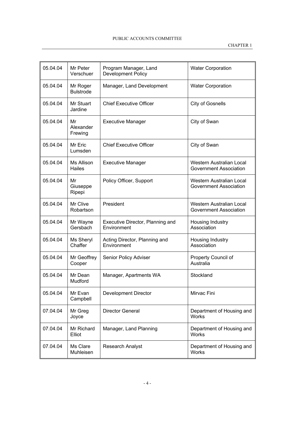| 05.04.04 | Mr Peter<br>Verschuer        | Program Manager, Land<br>Development Policy     | <b>Water Corporation</b>                           |
|----------|------------------------------|-------------------------------------------------|----------------------------------------------------|
| 05.04.04 | Mr Roger<br><b>Bulstrode</b> | Manager, Land Development                       | <b>Water Corporation</b>                           |
| 05.04.04 | Mr Stuart<br>Jardine         | <b>Chief Executive Officer</b>                  | <b>City of Gosnells</b>                            |
| 05.04.04 | Mr<br>Alexander<br>Frewing   | <b>Executive Manager</b>                        | City of Swan                                       |
| 05.04.04 | Mr Eric<br>Lumsden           | <b>Chief Executive Officer</b>                  | City of Swan                                       |
| 05.04.04 | Ms Allison<br>Hailes         | <b>Executive Manager</b>                        | Western Australian Local<br>Government Association |
| 05.04.04 | Mr<br>Giuseppe<br>Ripepi     | Policy Officer, Support                         | Western Australian Local<br>Government Association |
| 05.04.04 | Mr Clive<br>Robartson        | President                                       | Western Australian Local<br>Government Association |
| 05.04.04 | Mr Wayne<br>Gersbach         | Executive Director, Planning and<br>Environment | Housing Industry<br>Association                    |
| 05.04.04 | Ms Sheryl<br>Chaffer         | Acting Director, Planning and<br>Environment    | Housing Industry<br>Association                    |
| 05.04.04 | Mr Geoffrey<br>Cooper        | Senior Policy Adviser                           | Property Council of<br>Australia                   |
| 05.04.04 | Mr Dean<br>Mudford           | Manager, Apartments WA                          | Stockland                                          |
| 05.04.04 | Mr Evan<br>Campbell          | <b>Development Director</b>                     | Mirvac Fini                                        |
| 07.04.04 | Mr Greg<br>Joyce             | Director General                                | Department of Housing and<br><b>Works</b>          |
| 07.04.04 | Mr Richard<br>Elliot         | Manager, Land Planning                          | Department of Housing and<br>Works                 |
| 07.04.04 | Ms Clare<br>Muhleisen        | <b>Research Analyst</b>                         | Department of Housing and<br>Works                 |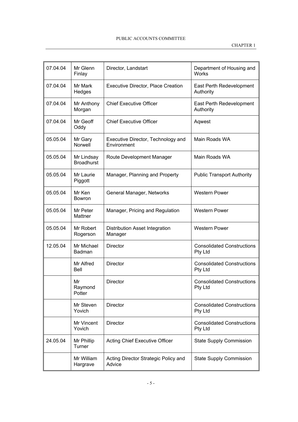| 07.04.04 | Mr Glenn<br>Finlay              | Director, Landstart                               | Department of Housing and<br>Works           |
|----------|---------------------------------|---------------------------------------------------|----------------------------------------------|
| 07.04.04 | Mr Mark<br>Hedges               | <b>Executive Director, Place Creation</b>         | East Perth Redevelopment<br>Authority        |
| 07.04.04 | Mr Anthony<br>Morgan            | <b>Chief Executive Officer</b>                    | East Perth Redevelopment<br>Authority        |
| 07.04.04 | Mr Geoff<br>Oddy                | <b>Chief Executive Officer</b>                    | Aqwest                                       |
| 05.05.04 | Mr Gary<br>Norwell              | Executive Director, Technology and<br>Environment | Main Roads WA                                |
| 05.05.04 | Mr Lindsay<br><b>Broadhurst</b> | Route Development Manager                         | Main Roads WA                                |
| 05.05.04 | Mr Laurie<br>Piggott            | Manager, Planning and Property                    | <b>Public Transport Authority</b>            |
| 05.05.04 | Mr Ken<br><b>Bowron</b>         | General Manager, Networks                         | <b>Western Power</b>                         |
| 05.05.04 | Mr Peter<br>Mattner             | Manager, Pricing and Regulation                   | <b>Western Power</b>                         |
| 05.05.04 | Mr Robert<br>Rogerson           | Distribution Asset Integration<br>Manager         | <b>Western Power</b>                         |
| 12.05.04 | Mr Michael<br>Badman            | <b>Director</b>                                   | <b>Consolidated Constructions</b><br>Pty Ltd |
|          | Mr Alfred<br>Bell               | <b>Director</b>                                   | <b>Consolidated Constructions</b><br>Pty Ltd |
|          | Mr<br>Raymond<br>Potter         | <b>Director</b>                                   | <b>Consolidated Constructions</b><br>Pty Ltd |
|          | Mr Steven<br>Yovich             | <b>Director</b>                                   | <b>Consolidated Constructions</b><br>Pty Ltd |
|          | Mr Vincent<br>Yovich            | <b>Director</b>                                   | <b>Consolidated Constructions</b><br>Pty Ltd |
| 24.05.04 | Mr Phillip<br>Turner            | Acting Chief Executive Officer                    | <b>State Supply Commission</b>               |
|          | Mr William<br>Hargrave          | Acting Director Strategic Policy and<br>Advice    | <b>State Supply Commission</b>               |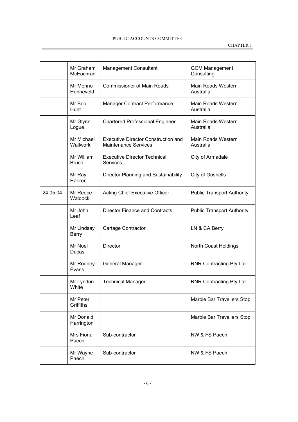|          | Mr Graham<br>McEachran     | <b>Management Consultant</b>                                              | <b>GCM Management</b><br>Consulting |
|----------|----------------------------|---------------------------------------------------------------------------|-------------------------------------|
|          | Mr Menno<br>Henneveld      | <b>Commissioner of Main Roads</b>                                         | Main Roads Western<br>Australia     |
|          | Mr Bob<br>Hunt             | Manager Contract Performance                                              | Main Roads Western<br>Australia     |
|          | Mr Glynn<br>Logue          | <b>Chartered Professional Engineer</b>                                    | Main Roads Western<br>Australia     |
|          | Mr Michael<br>Wallwork     | <b>Executive Director Construction and</b><br><b>Maintenance Services</b> | Main Roads Western<br>Australia     |
|          | Mr William<br><b>Bruce</b> | <b>Executive Director Technical</b><br><b>Services</b>                    | City of Armadale                    |
|          | Mr Ray<br>Haeren           | Director Planning and Sustainability                                      | <b>City of Gosnells</b>             |
| 24.05.04 | Mr Reece<br>Waldock        | <b>Acting Chief Executive Officer</b>                                     | <b>Public Transport Authority</b>   |
|          | Mr John<br>Leaf            | <b>Director Finance and Contracts</b>                                     | <b>Public Transport Authority</b>   |
|          | Mr Lindsay<br><b>Berry</b> | Cartage Contractor                                                        | LN & CA Berry                       |
|          | Mr Noel<br>Ducas           | <b>Director</b>                                                           | North Coast Holdings                |
|          | Mr Rodney<br>Evans         | General Manager                                                           | RNR Contracting Pty Ltd             |
|          | Mr Lyndon<br>White         | <b>Technical Manager</b>                                                  | <b>RNR Contracting Pty Ltd</b>      |
|          | Mr Peter<br>Griffiths      |                                                                           | Marble Bar Travellers Stop          |
|          | Mr Donald<br>Harrington    |                                                                           | Marble Bar Travellers Stop          |
|          | Mrs Fiona<br>Paech         | Sub-contractor                                                            | NW & FS Paech                       |
|          | Mr Wayne<br>Paech          | Sub-contractor                                                            | NW & FS Paech                       |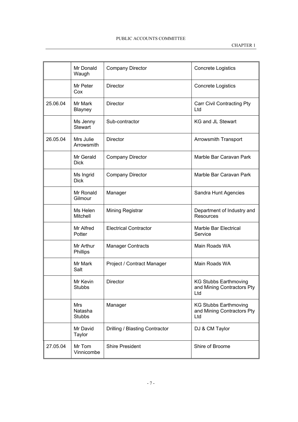|          | Mr Donald<br>Waugh                     | <b>Company Director</b>        | <b>Concrete Logistics</b>                                         |
|----------|----------------------------------------|--------------------------------|-------------------------------------------------------------------|
|          | Mr Peter<br>Cox                        | <b>Director</b>                | Concrete Logistics                                                |
| 25.06.04 | Mr Mark<br><b>Blayney</b>              | <b>Director</b>                | Carr Civil Contracting Pty<br>Ltd                                 |
|          | Ms Jenny<br><b>Stewart</b>             | Sub-contractor                 | <b>KG and JL Stewart</b>                                          |
| 26.05.04 | Mrs Julie<br>Arrowsmith                | <b>Director</b>                | Arrowsmith Transport                                              |
|          | Mr Gerald<br><b>Dick</b>               | <b>Company Director</b>        | Marble Bar Caravan Park                                           |
|          | Ms Ingrid<br><b>Dick</b>               | <b>Company Director</b>        | Marble Bar Caravan Park                                           |
|          | Mr Ronald<br>Gilmour                   | Manager                        | Sandra Hunt Agencies                                              |
|          | Ms Helen<br>Mitchell                   | Mining Registrar               | Department of Industry and<br><b>Resources</b>                    |
|          | Mr Alfred<br>Potter                    | <b>Electrical Contractor</b>   | Marble Bar Electrical<br>Service                                  |
|          | Mr Arthur<br>Phillips                  | <b>Manager Contracts</b>       | Main Roads WA                                                     |
|          | Mr Mark<br>Salt                        | Project / Contract Manager     | Main Roads WA                                                     |
|          | Mr Kevin<br><b>Stubbs</b>              | <b>Director</b>                | <b>KG Stubbs Earthmoving</b><br>and Mining Contractors Pty<br>Ltd |
|          | <b>Mrs</b><br>Natasha<br><b>Stubbs</b> | Manager                        | <b>KG Stubbs Earthmoving</b><br>and Mining Contractors Pty<br>Ltd |
|          | Mr David<br>Taylor                     | Drilling / Blasting Contractor | DJ & CM Taylor                                                    |
| 27.05.04 | Mr Tom<br>Vinnicombe                   | <b>Shire President</b>         | Shire of Broome                                                   |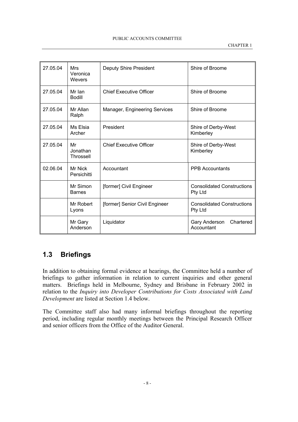| 27.05.04 | <b>Mrs</b><br>Veronica<br>Wevers   | Deputy Shire President         | Shire of Broome                              |  |
|----------|------------------------------------|--------------------------------|----------------------------------------------|--|
| 27.05.04 | Mr Ian<br><b>Bodill</b>            | <b>Chief Executive Officer</b> | Shire of Broome                              |  |
| 27.05.04 | Mr Allan<br>Ralph                  | Manager, Engineering Services  | Shire of Broome                              |  |
| 27.05.04 | Ms Elsia<br>Archer                 | President                      | Shire of Derby-West<br>Kimberley             |  |
| 27.05.04 | Mr<br>Jonathan<br><b>Throssell</b> | <b>Chief Executive Officer</b> | Shire of Derby-West<br>Kimberley             |  |
| 02.06.04 | Mr Nick<br>Persichitti             | Accountant                     | <b>PPB Accountants</b>                       |  |
|          | Mr Simon<br><b>Barnes</b>          | [former] Civil Engineer        | <b>Consolidated Constructions</b><br>Pty Ltd |  |
|          | Mr Robert<br>Lyons                 | [former] Senior Civil Engineer | <b>Consolidated Constructions</b><br>Pty Ltd |  |
|          | Mr Gary<br>Anderson                | Liquidator                     | Gary Anderson<br>Chartered<br>Accountant     |  |

## **1.3 Briefings**

In addition to obtaining formal evidence at hearings, the Committee held a number of briefings to gather information in relation to current inquiries and other general matters. Briefings held in Melbourne, Sydney and Brisbane in February 2002 in relation to the *Inquiry into Developer Contributions for Costs Associated with Land Development* are listed at Section 1.4 below.

The Committee staff also had many informal briefings throughout the reporting period, including regular monthly meetings between the Principal Research Officer and senior officers from the Office of the Auditor General.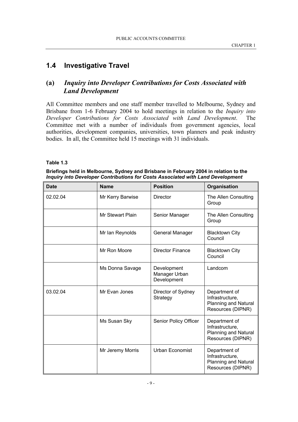## **1.4 Investigative Travel**

### **(a)** *Inquiry into Developer Contributions for Costs Associated with Land Development*

All Committee members and one staff member travelled to Melbourne, Sydney and Brisbane from 1-6 February 2004 to hold meetings in relation to the *Inquiry into Developer Contributions for Costs Associated with Land Development*. The Committee met with a number of individuals from government agencies, local authorities, development companies, universities, town planners and peak industry bodies. In all, the Committee held 15 meetings with 31 individuals.

#### **Table 1.3**

**Briefings held in Melbourne, Sydney and Brisbane in February 2004 in relation to the** *Inquiry into Developer Contributions for Costs Associated with Land Development*

| <b>Date</b> | <b>Name</b>      | <b>Position</b>                             | Organisation                                                                         |
|-------------|------------------|---------------------------------------------|--------------------------------------------------------------------------------------|
| 02.02.04    | Mr Kerry Barwise | <b>Director</b>                             | The Allen Consulting<br>Group                                                        |
|             | Mr Stewart Plain | Senior Manager                              | The Allen Consulting<br>Group                                                        |
|             | Mr Ian Reynolds  | General Manager                             | <b>Blacktown City</b><br>Council                                                     |
|             | Mr Ron Moore     | <b>Director Finance</b>                     | <b>Blacktown City</b><br>Council                                                     |
|             | Ms Donna Savage  | Development<br>Manager Urban<br>Development | Landcom                                                                              |
| 03.02.04    | Mr Evan Jones    | Director of Sydney<br>Strategy              | Department of<br>Infrastructure,<br><b>Planning and Natural</b><br>Resources (DIPNR) |
|             | Ms Susan Sky     | Senior Policy Officer                       | Department of<br>Infrastructure,<br><b>Planning and Natural</b><br>Resources (DIPNR) |
|             | Mr Jeremy Morris | <b>Urban Economist</b>                      | Department of<br>Infrastructure,<br><b>Planning and Natural</b><br>Resources (DIPNR) |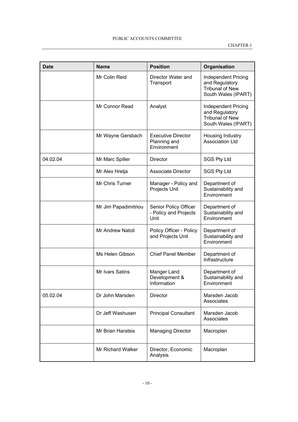| <b>Date</b> | <b>Name</b>             | <b>Position</b>                                          | Organisation                                                                                  |
|-------------|-------------------------|----------------------------------------------------------|-----------------------------------------------------------------------------------------------|
|             | Mr Colin Reid           | Director Water and<br>Transport                          | <b>Independent Pricing</b><br>and Regulatory<br><b>Tribunal of New</b><br>South Wales (IPART) |
|             | Mr Connor Read          | Analyst                                                  | <b>Independent Pricing</b><br>and Regulatory<br><b>Tribunal of New</b><br>South Wales (IPART) |
|             | Mr Wayne Gersbach       | <b>Executive Director</b><br>Planning and<br>Environment | Housing Industry<br><b>Association Ltd</b>                                                    |
| 04.02.04    | Mr Marc Spiller         | Director                                                 | <b>SGS Pty Ltd</b>                                                                            |
|             | Mr Alex Hrelja          | <b>Associate Director</b>                                | <b>SGS Pty Ltd</b>                                                                            |
|             | Mr Chris Turner         | Manager - Policy and<br>Projects Unit                    | Department of<br>Sustainability and<br>Environment                                            |
|             | Mr Jim Papadimitriou    | Senior Policy Officer<br>- Policy and Projects<br>Unit   | Department of<br>Sustainability and<br>Environment                                            |
|             | <b>Mr Andrew Natoli</b> | Policy Officer - Policy<br>and Projects Unit             | Department of<br>Sustainability and<br>Environment                                            |
|             | Ms Helen Gibson         | <b>Chief Panel Member</b>                                | Department of<br>Infrastructure                                                               |
|             | Mr Ivars Satins         | Manger Land<br>Development &<br>Information              | Department of<br>Sustainability and<br>Environment                                            |
| 05.02.04    | Dr John Marsden         | <b>Director</b>                                          | Marsden Jacob<br>Associates                                                                   |
|             | Dr Jeff Washusen        | <b>Principal Consultant</b>                              | Marsden Jacob<br>Associates                                                                   |
|             | Mr Brian Haratsis       | <b>Managing Director</b>                                 | Macroplan                                                                                     |
|             | Mr Richard Walker       | Director, Economic<br>Analysis                           | Macroplan                                                                                     |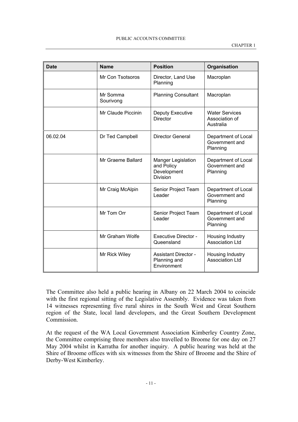| <b>Date</b> | <b>Name</b>           | <b>Position</b>                                                           | Organisation                                         |
|-------------|-----------------------|---------------------------------------------------------------------------|------------------------------------------------------|
|             | Mr Con Tsotsoros      | Director, Land Use<br>Planning                                            | Macroplan                                            |
|             | Mr Somma<br>Sourivong | <b>Planning Consultant</b>                                                | Macroplan                                            |
|             | Mr Claude Piccinin    | Deputy Executive<br><b>Director</b>                                       | <b>Water Services</b><br>Association of<br>Australia |
| 06.02.04    | Dr Ted Campbell       | Director General                                                          | Department of Local<br>Government and<br>Planning    |
|             | Mr Graeme Ballard     | <b>Manger Legislation</b><br>and Policy<br>Development<br><b>Division</b> | Department of Local<br>Government and<br>Planning    |
|             | Mr Craig McAlpin      | Senior Project Team<br>Leader                                             | Department of Local<br>Government and<br>Planning    |
|             | Mr Tom Orr            | Senior Project Team<br>Leader                                             | Department of Local<br>Government and<br>Planning    |
|             | Mr Graham Wolfe       | <b>Executive Director -</b><br>Queensland                                 | Housing Industry<br><b>Association Ltd</b>           |
|             | Mr Rick Wiley         | <b>Assistant Director -</b><br>Planning and<br>Environment                | Housing Industry<br><b>Association Ltd</b>           |

The Committee also held a public hearing in Albany on 22 March 2004 to coincide with the first regional sitting of the Legislative Assembly. Evidence was taken from 14 witnesses representing five rural shires in the South West and Great Southern region of the State, local land developers, and the Great Southern Development Commission.

At the request of the WA Local Government Association Kimberley Country Zone, the Committee comprising three members also travelled to Broome for one day on 27 May 2004 whilst in Karratha for another inquiry. A public hearing was held at the Shire of Broome offices with six witnesses from the Shire of Broome and the Shire of Derby-West Kimberley.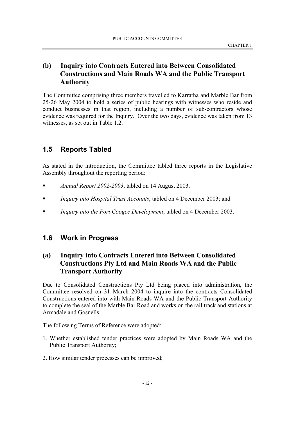### **(b) Inquiry into Contracts Entered into Between Consolidated Constructions and Main Roads WA and the Public Transport Authority**

The Committee comprising three members travelled to Karratha and Marble Bar from 25-26 May 2004 to hold a series of public hearings with witnesses who reside and conduct businesses in that region, including a number of sub-contractors whose evidence was required for the Inquiry. Over the two days, evidence was taken from 13 witnesses, as set out in Table 1.2.

## **1.5 Reports Tabled**

As stated in the introduction, the Committee tabled three reports in the Legislative Assembly throughout the reporting period:

- *Annual Report 2002-2003*, tabled on 14 August 2003.
- *Inquiry into Hospital Trust Accounts*, tabled on 4 December 2003; and
- *Inquiry into the Port Coogee Development*, tabled on 4 December 2003.

## **1.6 Work in Progress**

## **(a) Inquiry into Contracts Entered into Between Consolidated Constructions Pty Ltd and Main Roads WA and the Public Transport Authority**

Due to Consolidated Constructions Pty Ltd being placed into administration, the Committee resolved on 31 March 2004 to inquire into the contracts Consolidated Constructions entered into with Main Roads WA and the Public Transport Authority to complete the seal of the Marble Bar Road and works on the rail track and stations at Armadale and Gosnells.

The following Terms of Reference were adopted:

- 1. Whether established tender practices were adopted by Main Roads WA and the Public Transport Authority;
- 2. How similar tender processes can be improved;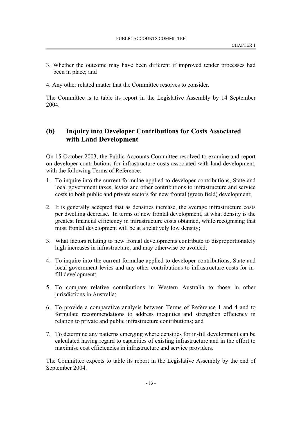- 3. Whether the outcome may have been different if improved tender processes had been in place; and
- 4. Any other related matter that the Committee resolves to consider.

The Committee is to table its report in the Legislative Assembly by 14 September 2004.

## **(b) Inquiry into Developer Contributions for Costs Associated with Land Development**

On 15 October 2003, the Public Accounts Committee resolved to examine and report on developer contributions for infrastructure costs associated with land development, with the following Terms of Reference:

- 1. To inquire into the current formulae applied to developer contributions, State and local government taxes, levies and other contributions to infrastructure and service costs to both public and private sectors for new frontal (green field) development;
- 2. It is generally accepted that as densities increase, the average infrastructure costs per dwelling decrease. In terms of new frontal development, at what density is the greatest financial efficiency in infrastructure costs obtained, while recognising that most frontal development will be at a relatively low density;
- 3. What factors relating to new frontal developments contribute to disproportionately high increases in infrastructure, and may otherwise be avoided;
- 4. To inquire into the current formulae applied to developer contributions, State and local government levies and any other contributions to infrastructure costs for infill development;
- 5. To compare relative contributions in Western Australia to those in other jurisdictions in Australia;
- 6. To provide a comparative analysis between Terms of Reference 1 and 4 and to formulate recommendations to address inequities and strengthen efficiency in relation to private and public infrastructure contributions; and
- 7. To determine any patterns emerging where densities for in-fill development can be calculated having regard to capacities of existing infrastructure and in the effort to maximise cost efficiencies in infrastructure and service providers.

The Committee expects to table its report in the Legislative Assembly by the end of September 2004.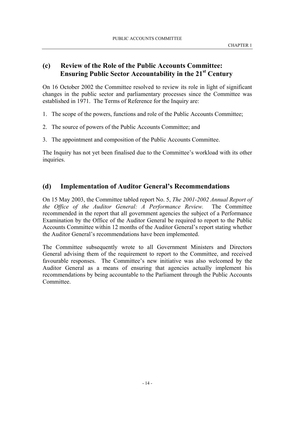### **(c) Review of the Role of the Public Accounts Committee: Ensuring Public Sector Accountability in the 21st Century**

On 16 October 2002 the Committee resolved to review its role in light of significant changes in the public sector and parliamentary processes since the Committee was established in 1971. The Terms of Reference for the Inquiry are:

- 1. The scope of the powers, functions and role of the Public Accounts Committee;
- 2. The source of powers of the Public Accounts Committee; and
- 3. The appointment and composition of the Public Accounts Committee.

The Inquiry has not yet been finalised due to the Committee's workload with its other inquiries.

### **(d) Implementation of Auditor General's Recommendations**

On 15 May 2003, the Committee tabled report No. 5, *The 2001-2002 Annual Report of the Office of the Auditor General: A Performance Review.* The Committee recommended in the report that all government agencies the subject of a Performance Examination by the Office of the Auditor General be required to report to the Public Accounts Committee within 12 months of the Auditor General's report stating whether the Auditor General's recommendations have been implemented.

The Committee subsequently wrote to all Government Ministers and Directors General advising them of the requirement to report to the Committee, and received favourable responses. The Committee's new initiative was also welcomed by the Auditor General as a means of ensuring that agencies actually implement his recommendations by being accountable to the Parliament through the Public Accounts Committee.